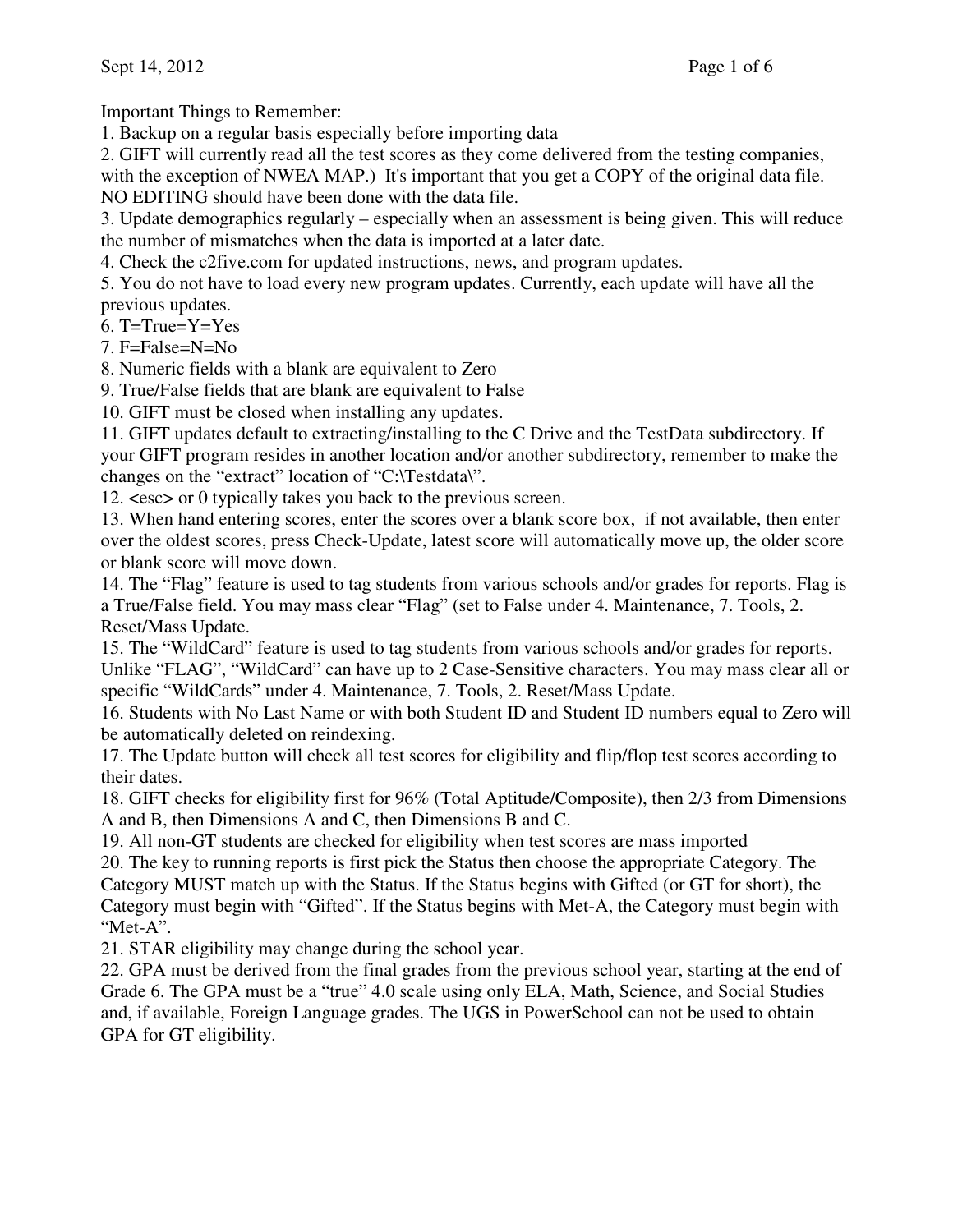Important Things to Remember:

1. Backup on a regular basis especially before importing data

2. GIFT will currently read all the test scores as they come delivered from the testing companies, with the exception of NWEA MAP.) It's important that you get a COPY of the original data file.

NO EDITING should have been done with the data file.

3. Update demographics regularly – especially when an assessment is being given. This will reduce the number of mismatches when the data is imported at a later date.

4. Check the c2five.com for updated instructions, news, and program updates.

5. You do not have to load every new program updates. Currently, each update will have all the previous updates.

 $6.$  T=True=Y=Yes

7. F=False=N=No

8. Numeric fields with a blank are equivalent to Zero

9. True/False fields that are blank are equivalent to False

10. GIFT must be closed when installing any updates.

11. GIFT updates default to extracting/installing to the C Drive and the TestData subdirectory. If your GIFT program resides in another location and/or another subdirectory, remember to make the changes on the "extract" location of "C:\Testdata\".

12. <esc> or 0 typically takes you back to the previous screen.

13. When hand entering scores, enter the scores over a blank score box, if not available, then enter over the oldest scores, press Check-Update, latest score will automatically move up, the older score or blank score will move down.

14. The "Flag" feature is used to tag students from various schools and/or grades for reports. Flag is a True/False field. You may mass clear "Flag" (set to False under 4. Maintenance, 7. Tools, 2. Reset/Mass Update.

15. The "WildCard" feature is used to tag students from various schools and/or grades for reports. Unlike "FLAG", "WildCard" can have up to 2 Case-Sensitive characters. You may mass clear all or specific "WildCards" under 4. Maintenance, 7. Tools, 2. Reset/Mass Update.

16. Students with No Last Name or with both Student ID and Student ID numbers equal to Zero will be automatically deleted on reindexing.

17. The Update button will check all test scores for eligibility and flip/flop test scores according to their dates.

18. GIFT checks for eligibility first for 96% (Total Aptitude/Composite), then 2/3 from Dimensions A and B, then Dimensions A and C, then Dimensions B and C.

19. All non-GT students are checked for eligibility when test scores are mass imported

20. The key to running reports is first pick the Status then choose the appropriate Category. The Category MUST match up with the Status. If the Status begins with Gifted (or GT for short), the Category must begin with "Gifted". If the Status begins with Met-A, the Category must begin with "Met-A".

21. STAR eligibility may change during the school year.

22. GPA must be derived from the final grades from the previous school year, starting at the end of Grade 6. The GPA must be a "true" 4.0 scale using only ELA, Math, Science, and Social Studies and, if available, Foreign Language grades. The UGS in PowerSchool can not be used to obtain GPA for GT eligibility.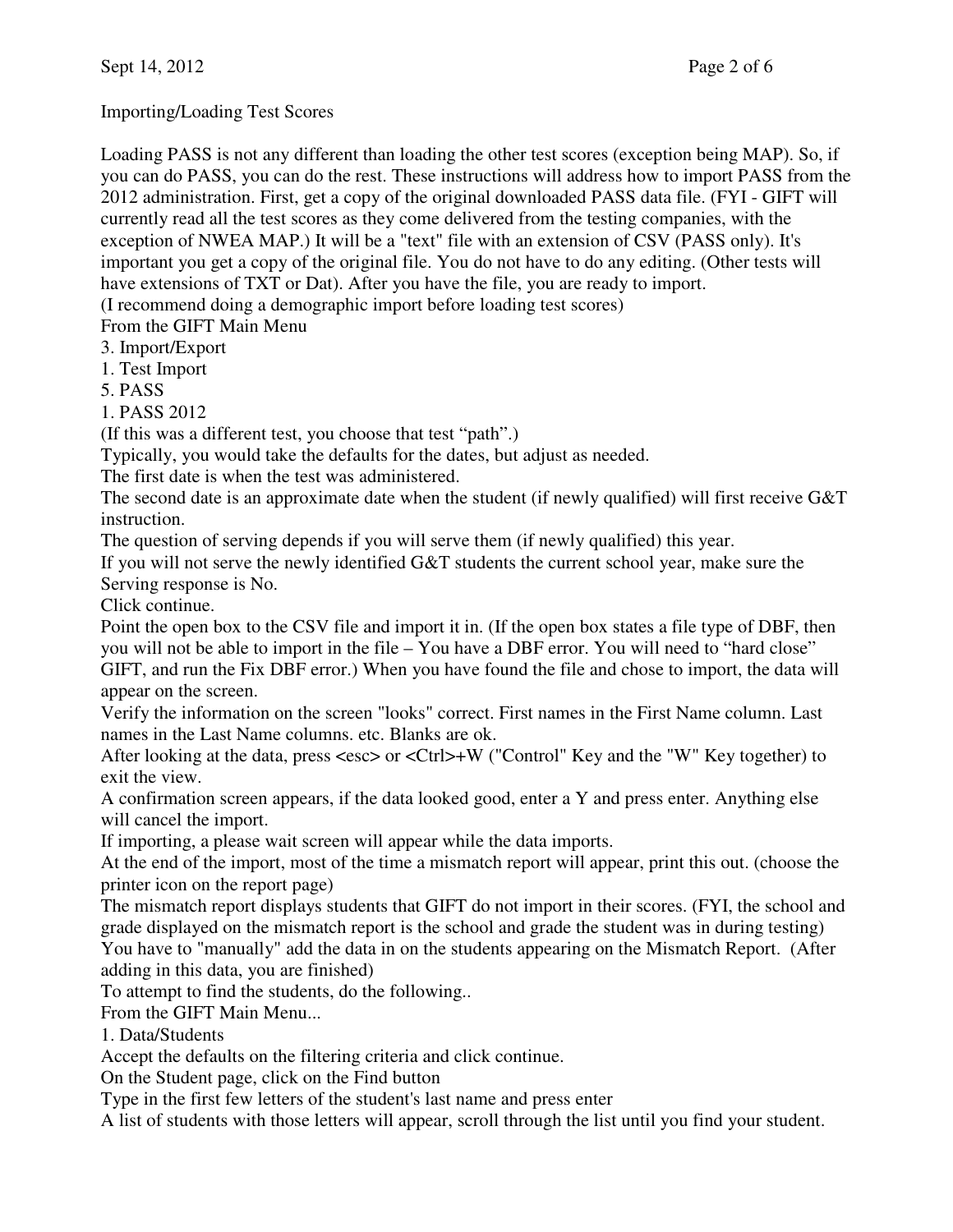Importing/Loading Test Scores

Loading PASS is not any different than loading the other test scores (exception being MAP). So, if you can do PASS, you can do the rest. These instructions will address how to import PASS from the 2012 administration. First, get a copy of the original downloaded PASS data file. (FYI - GIFT will currently read all the test scores as they come delivered from the testing companies, with the exception of NWEA MAP.) It will be a "text" file with an extension of CSV (PASS only). It's important you get a copy of the original file. You do not have to do any editing. (Other tests will have extensions of TXT or Dat). After you have the file, you are ready to import.

(I recommend doing a demographic import before loading test scores)

From the GIFT Main Menu

3. Import/Export

1. Test Import

5. PASS

1. PASS 2012

(If this was a different test, you choose that test "path".)

Typically, you would take the defaults for the dates, but adjust as needed.

The first date is when the test was administered.

The second date is an approximate date when the student (if newly qualified) will first receive G&T instruction.

The question of serving depends if you will serve them (if newly qualified) this year.

If you will not serve the newly identified G&T students the current school year, make sure the Serving response is No.

Click continue.

Point the open box to the CSV file and import it in. (If the open box states a file type of DBF, then you will not be able to import in the file – You have a DBF error. You will need to "hard close" GIFT, and run the Fix DBF error.) When you have found the file and chose to import, the data will appear on the screen.

Verify the information on the screen "looks" correct. First names in the First Name column. Last names in the Last Name columns. etc. Blanks are ok.

After looking at the data, press <esc> or <Ctrl>+W ("Control" Key and the "W" Key together) to exit the view.

A confirmation screen appears, if the data looked good, enter a Y and press enter. Anything else will cancel the import.

If importing, a please wait screen will appear while the data imports.

At the end of the import, most of the time a mismatch report will appear, print this out. (choose the printer icon on the report page)

The mismatch report displays students that GIFT do not import in their scores. (FYI, the school and grade displayed on the mismatch report is the school and grade the student was in during testing) You have to "manually" add the data in on the students appearing on the Mismatch Report. (After

adding in this data, you are finished)

To attempt to find the students, do the following..

From the GIFT Main Menu...

1. Data/Students

Accept the defaults on the filtering criteria and click continue.

On the Student page, click on the Find button

Type in the first few letters of the student's last name and press enter

A list of students with those letters will appear, scroll through the list until you find your student.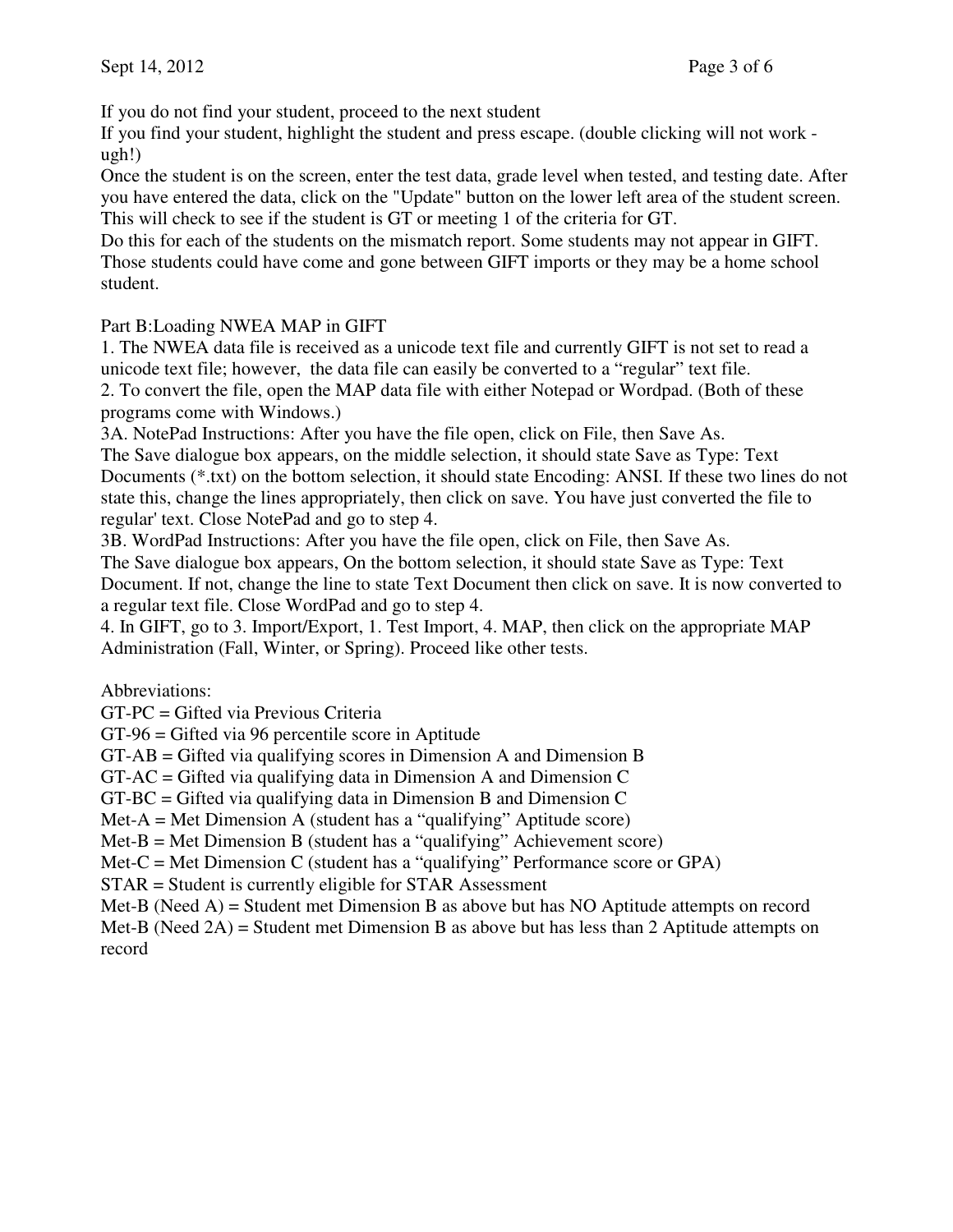If you do not find your student, proceed to the next student

If you find your student, highlight the student and press escape. (double clicking will not work ugh!)

Once the student is on the screen, enter the test data, grade level when tested, and testing date. After you have entered the data, click on the "Update" button on the lower left area of the student screen. This will check to see if the student is GT or meeting 1 of the criteria for GT.

Do this for each of the students on the mismatch report. Some students may not appear in GIFT. Those students could have come and gone between GIFT imports or they may be a home school student.

## Part B:Loading NWEA MAP in GIFT

1. The NWEA data file is received as a unicode text file and currently GIFT is not set to read a unicode text file; however, the data file can easily be converted to a "regular" text file. 2. To convert the file, open the MAP data file with either Notepad or Wordpad. (Both of these programs come with Windows.)

3A. NotePad Instructions: After you have the file open, click on File, then Save As.

The Save dialogue box appears, on the middle selection, it should state Save as Type: Text Documents (\*.txt) on the bottom selection, it should state Encoding: ANSI. If these two lines do not state this, change the lines appropriately, then click on save. You have just converted the file to regular' text. Close NotePad and go to step 4.

3B. WordPad Instructions: After you have the file open, click on File, then Save As.

The Save dialogue box appears, On the bottom selection, it should state Save as Type: Text Document. If not, change the line to state Text Document then click on save. It is now converted to a regular text file. Close WordPad and go to step 4.

4. In GIFT, go to 3. Import/Export, 1. Test Import, 4. MAP, then click on the appropriate MAP Administration (Fall, Winter, or Spring). Proceed like other tests.

Abbreviations:

GT-PC = Gifted via Previous Criteria

GT-96 = Gifted via 96 percentile score in Aptitude

GT-AB = Gifted via qualifying scores in Dimension A and Dimension B

 $GT-AC = Gifted via qualifying data in Dimension A and Dimension C$ 

 $GT-BC = Gifted via qualifying data in Dimension B and Dimension C$ 

 $Met-A = Met Dimension A (student has a "qualitying" Aptitude score)$ 

 $Met-B = Met Dimension B$  (student has a "qualifying" Achievement score)

Met-C = Met Dimension C (student has a "qualifying" Performance score or GPA)

STAR = Student is currently eligible for STAR Assessment

Met-B (Need  $A$ ) = Student met Dimension B as above but has NO Aptitude attempts on record Met-B (Need 2A) = Student met Dimension B as above but has less than 2 Aptitude attempts on record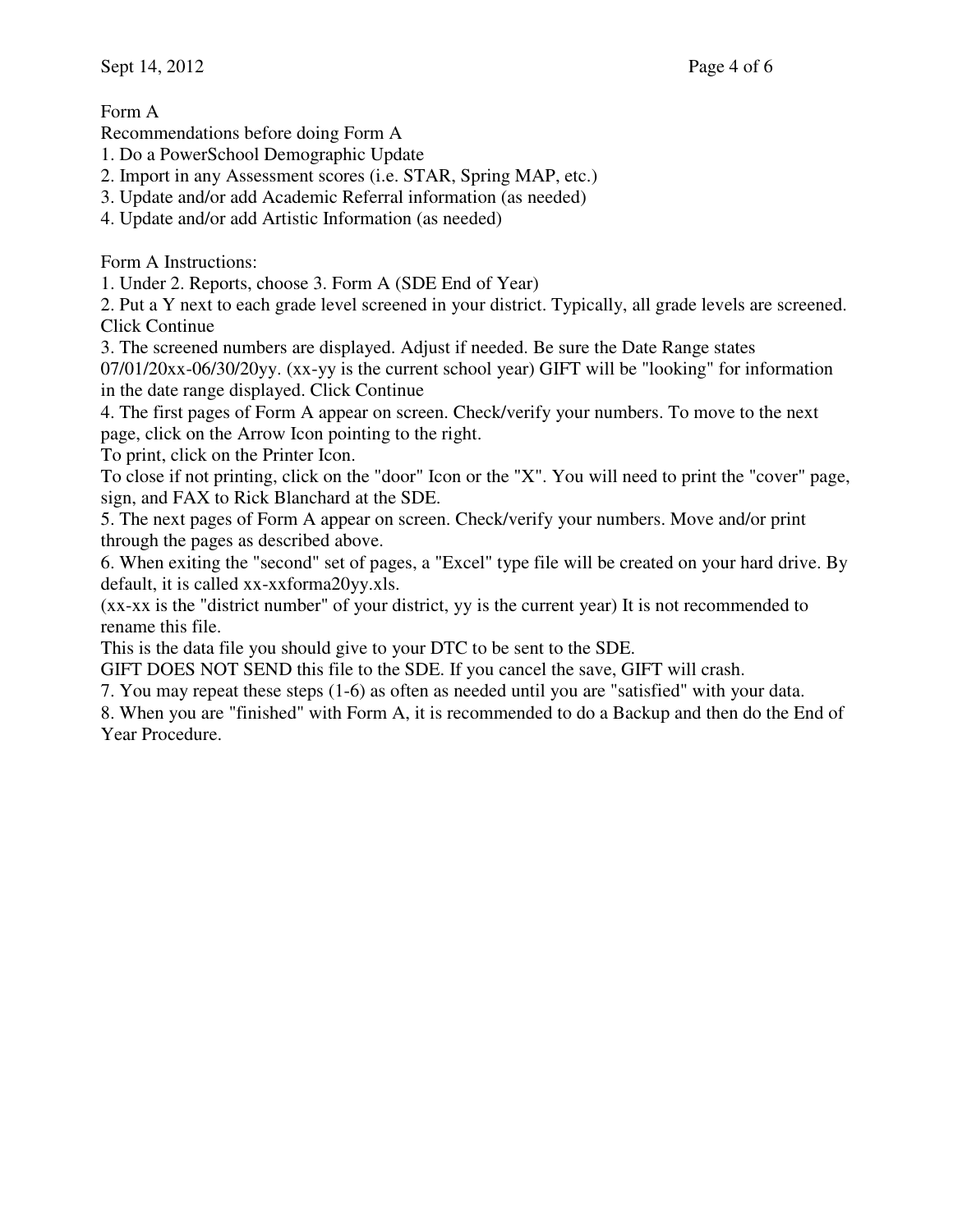Form A

Recommendations before doing Form A

- 1. Do a PowerSchool Demographic Update
- 2. Import in any Assessment scores (i.e. STAR, Spring MAP, etc.)
- 3. Update and/or add Academic Referral information (as needed)
- 4. Update and/or add Artistic Information (as needed)

Form A Instructions:

1. Under 2. Reports, choose 3. Form A (SDE End of Year)

2. Put a Y next to each grade level screened in your district. Typically, all grade levels are screened. Click Continue

3. The screened numbers are displayed. Adjust if needed. Be sure the Date Range states

07/01/20xx-06/30/20yy. (xx-yy is the current school year) GIFT will be "looking" for information in the date range displayed. Click Continue

4. The first pages of Form A appear on screen. Check/verify your numbers. To move to the next page, click on the Arrow Icon pointing to the right.

To print, click on the Printer Icon.

To close if not printing, click on the "door" Icon or the "X". You will need to print the "cover" page, sign, and FAX to Rick Blanchard at the SDE.

5. The next pages of Form A appear on screen. Check/verify your numbers. Move and/or print through the pages as described above.

6. When exiting the "second" set of pages, a "Excel" type file will be created on your hard drive. By default, it is called xx-xxforma20yy.xls.

(xx-xx is the "district number" of your district, yy is the current year) It is not recommended to rename this file.

This is the data file you should give to your DTC to be sent to the SDE.

GIFT DOES NOT SEND this file to the SDE. If you cancel the save, GIFT will crash.

7. You may repeat these steps (1-6) as often as needed until you are "satisfied" with your data.

8. When you are "finished" with Form A, it is recommended to do a Backup and then do the End of Year Procedure.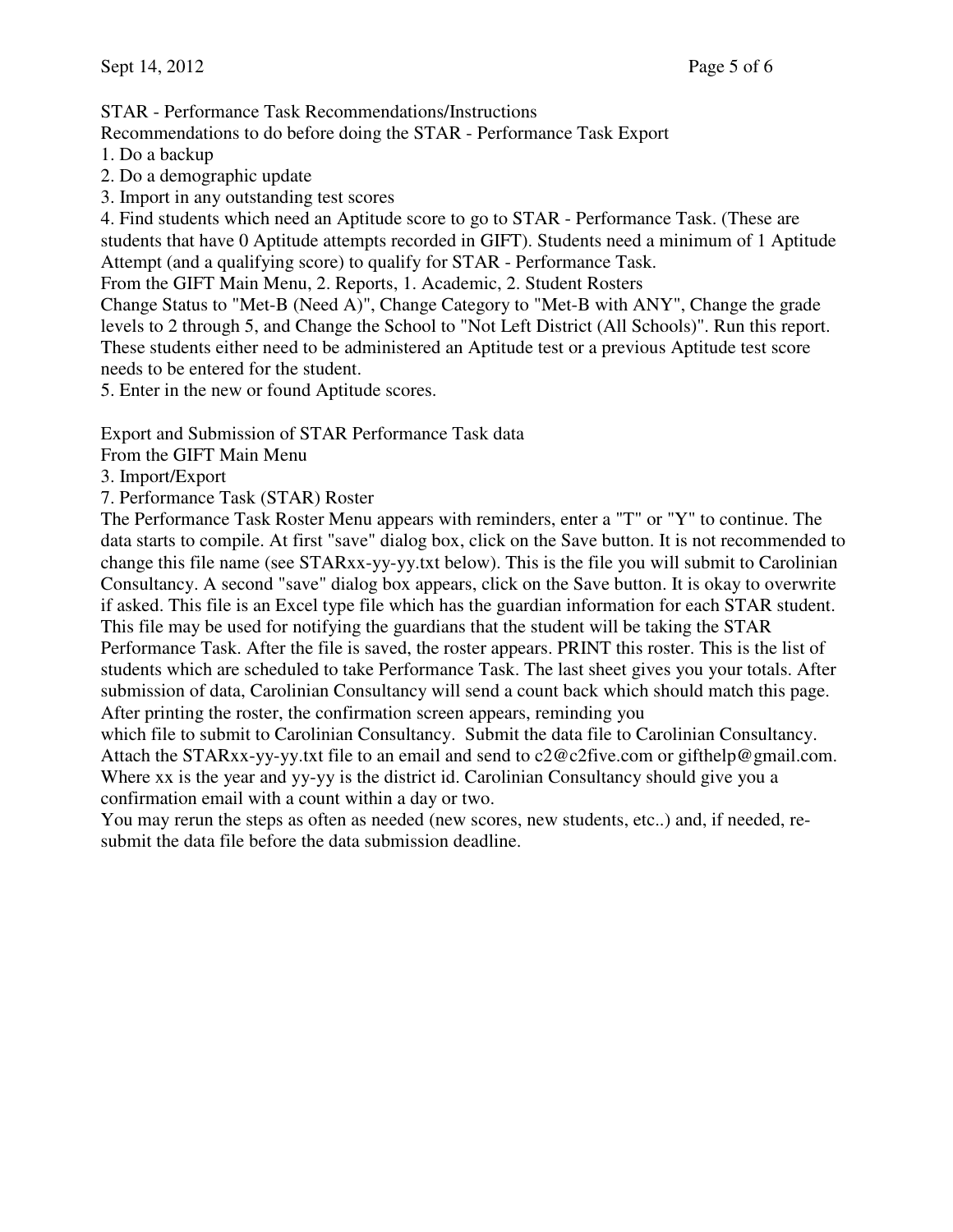STAR - Performance Task Recommendations/Instructions

Recommendations to do before doing the STAR - Performance Task Export

1. Do a backup

2. Do a demographic update

3. Import in any outstanding test scores

4. Find students which need an Aptitude score to go to STAR - Performance Task. (These are students that have 0 Aptitude attempts recorded in GIFT). Students need a minimum of 1 Aptitude Attempt (and a qualifying score) to qualify for STAR - Performance Task.

From the GIFT Main Menu, 2. Reports, 1. Academic, 2. Student Rosters

Change Status to "Met-B (Need A)", Change Category to "Met-B with ANY", Change the grade levels to 2 through 5, and Change the School to "Not Left District (All Schools)". Run this report. These students either need to be administered an Aptitude test or a previous Aptitude test score needs to be entered for the student.

5. Enter in the new or found Aptitude scores.

Export and Submission of STAR Performance Task data

From the GIFT Main Menu

3. Import/Export

7. Performance Task (STAR) Roster

The Performance Task Roster Menu appears with reminders, enter a "T" or "Y" to continue. The data starts to compile. At first "save" dialog box, click on the Save button. It is not recommended to change this file name (see STARxx-yy-yy.txt below). This is the file you will submit to Carolinian Consultancy. A second "save" dialog box appears, click on the Save button. It is okay to overwrite if asked. This file is an Excel type file which has the guardian information for each STAR student. This file may be used for notifying the guardians that the student will be taking the STAR Performance Task. After the file is saved, the roster appears. PRINT this roster. This is the list of students which are scheduled to take Performance Task. The last sheet gives you your totals. After submission of data, Carolinian Consultancy will send a count back which should match this page. After printing the roster, the confirmation screen appears, reminding you

which file to submit to Carolinian Consultancy. Submit the data file to Carolinian Consultancy. Attach the STARxx-yy-yy.txt file to an email and send to c2@c2five.com or gifthelp@gmail.com. Where xx is the year and yy-yy is the district id. Carolinian Consultancy should give you a confirmation email with a count within a day or two.

You may rerun the steps as often as needed (new scores, new students, etc..) and, if needed, resubmit the data file before the data submission deadline.